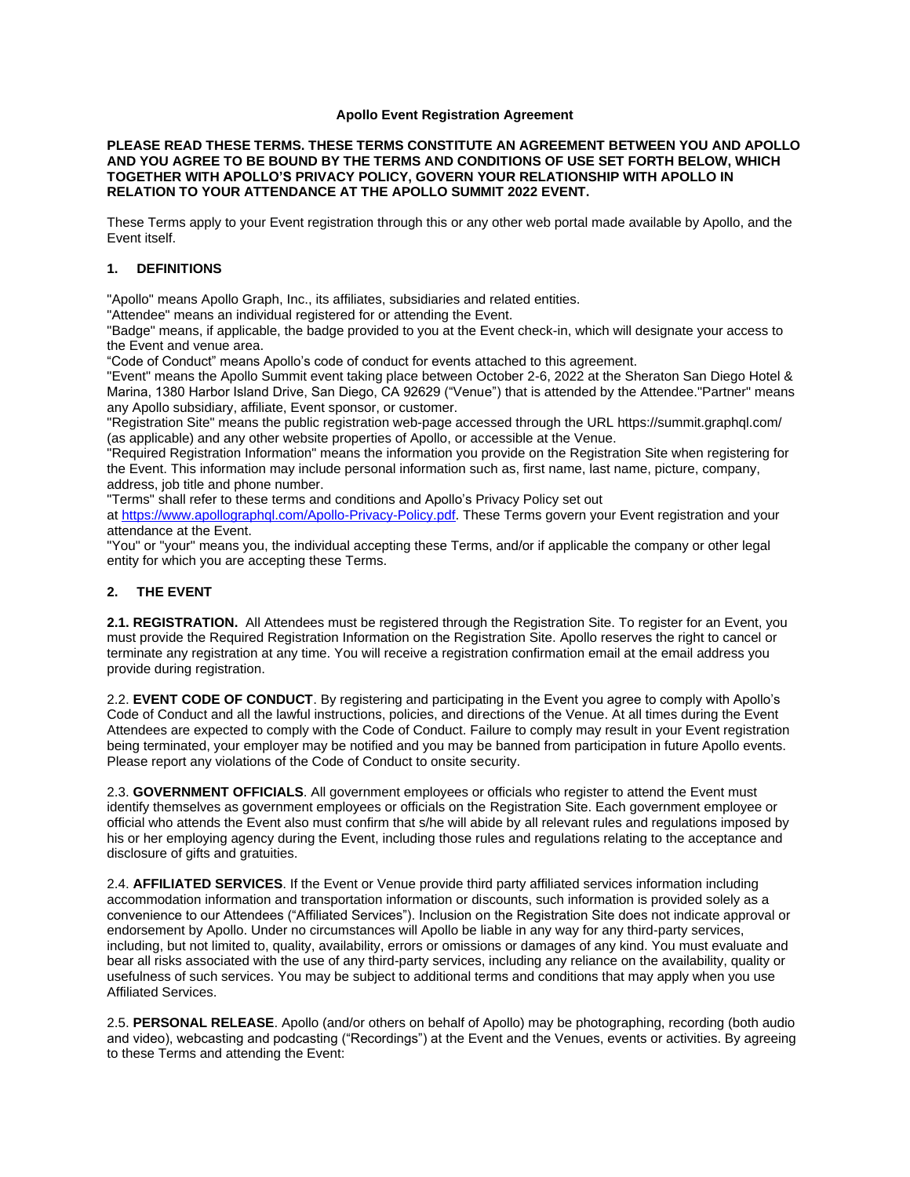### **Apollo Event Registration Agreement**

#### **PLEASE READ THESE TERMS. THESE TERMS CONSTITUTE AN AGREEMENT BETWEEN YOU AND APOLLO AND YOU AGREE TO BE BOUND BY THE TERMS AND CONDITIONS OF USE SET FORTH BELOW, WHICH TOGETHER WITH APOLLO'S PRIVACY POLICY, GOVERN YOUR RELATIONSHIP WITH APOLLO IN RELATION TO YOUR ATTENDANCE AT THE APOLLO SUMMIT 2022 EVENT.**

These Terms apply to your Event registration through this or any other web portal made available by Apollo, and the Event itself.

### **1. DEFINITIONS**

"Apollo" means Apollo Graph, Inc., its affiliates, subsidiaries and related entities.

"Attendee" means an individual registered for or attending the Event.

"Badge" means, if applicable, the badge provided to you at the Event check-in, which will designate your access to the Event and venue area.

"Code of Conduct" means Apollo's code of conduct for events attached to this agreement.

"Event" means the Apollo Summit event taking place between October 2-6, 2022 at the Sheraton San Diego Hotel & Marina, 1380 Harbor Island Drive, San Diego, CA 92629 ("Venue") that is attended by the Attendee."Partner" means any Apollo subsidiary, affiliate, Event sponsor, or customer.

"Registration Site" means the public registration web-page accessed through the URL https://summit.graphql.com/ (as applicable) and any other website properties of Apollo, or accessible at the Venue.

"Required Registration Information" means the information you provide on the Registration Site when registering for the Event. This information may include personal information such as, first name, last name, picture, company, address, job title and phone number.

"Terms" shall refer to these terms and conditions and Apollo's Privacy Policy set out

at [https://www.apollographql.com/Apollo-Privacy-Policy.pdf.](https://www.apollographql.com/Apollo-Privacy-Policy.pdf) These Terms govern your Event registration and your attendance at the Event.

"You" or "your" means you, the individual accepting these Terms, and/or if applicable the company or other legal entity for which you are accepting these Terms.

# **2. THE EVENT**

**2.1. REGISTRATION.** All Attendees must be registered through the Registration Site. To register for an Event, you must provide the Required Registration Information on the Registration Site. Apollo reserves the right to cancel or terminate any registration at any time. You will receive a registration confirmation email at the email address you provide during registration.

2.2. **EVENT CODE OF CONDUCT**. By registering and participating in the Event you agree to comply with Apollo's Code of Conduct and all the lawful instructions, policies, and directions of the Venue. At all times during the Event Attendees are expected to comply with the Code of Conduct. Failure to comply may result in your Event registration being terminated, your employer may be notified and you may be banned from participation in future Apollo events. Please report any violations of the Code of Conduct to onsite security.

2.3. **GOVERNMENT OFFICIALS**. All government employees or officials who register to attend the Event must identify themselves as government employees or officials on the Registration Site. Each government employee or official who attends the Event also must confirm that s/he will abide by all relevant rules and regulations imposed by his or her employing agency during the Event, including those rules and regulations relating to the acceptance and disclosure of gifts and gratuities.

2.4. **AFFILIATED SERVICES**. If the Event or Venue provide third party affiliated services information including accommodation information and transportation information or discounts, such information is provided solely as a convenience to our Attendees ("Affiliated Services"). Inclusion on the Registration Site does not indicate approval or endorsement by Apollo. Under no circumstances will Apollo be liable in any way for any third-party services, including, but not limited to, quality, availability, errors or omissions or damages of any kind. You must evaluate and bear all risks associated with the use of any third-party services, including any reliance on the availability, quality or usefulness of such services. You may be subject to additional terms and conditions that may apply when you use Affiliated Services.

2.5. **PERSONAL RELEASE**. Apollo (and/or others on behalf of Apollo) may be photographing, recording (both audio and video), webcasting and podcasting ("Recordings") at the Event and the Venues, events or activities. By agreeing to these Terms and attending the Event: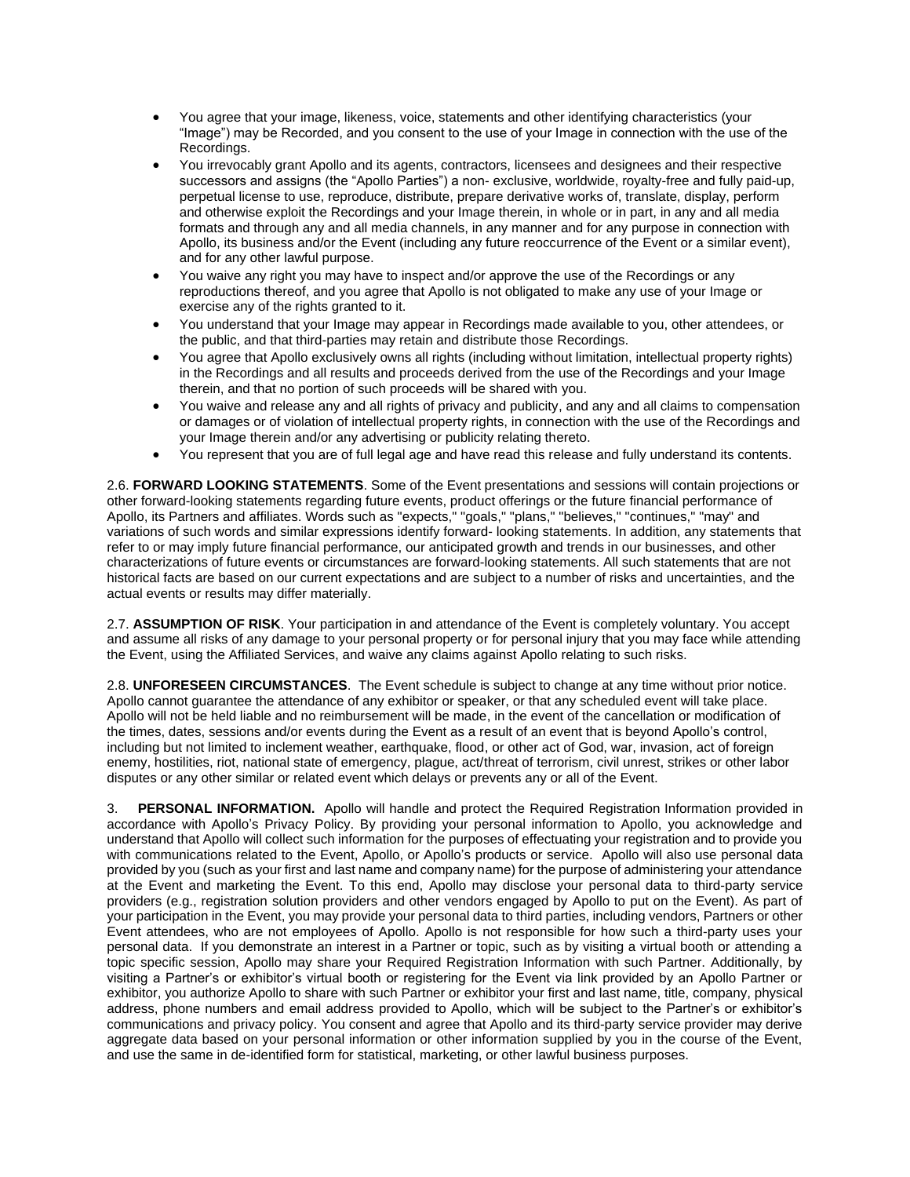- You agree that your image, likeness, voice, statements and other identifying characteristics (your "Image") may be Recorded, and you consent to the use of your Image in connection with the use of the Recordings.
- You irrevocably grant Apollo and its agents, contractors, licensees and designees and their respective successors and assigns (the "Apollo Parties") a non- exclusive, worldwide, royalty-free and fully paid-up, perpetual license to use, reproduce, distribute, prepare derivative works of, translate, display, perform and otherwise exploit the Recordings and your Image therein, in whole or in part, in any and all media formats and through any and all media channels, in any manner and for any purpose in connection with Apollo, its business and/or the Event (including any future reoccurrence of the Event or a similar event), and for any other lawful purpose.
- You waive any right you may have to inspect and/or approve the use of the Recordings or any reproductions thereof, and you agree that Apollo is not obligated to make any use of your Image or exercise any of the rights granted to it.
- You understand that your Image may appear in Recordings made available to you, other attendees, or the public, and that third-parties may retain and distribute those Recordings.
- You agree that Apollo exclusively owns all rights (including without limitation, intellectual property rights) in the Recordings and all results and proceeds derived from the use of the Recordings and your Image therein, and that no portion of such proceeds will be shared with you.
- You waive and release any and all rights of privacy and publicity, and any and all claims to compensation or damages or of violation of intellectual property rights, in connection with the use of the Recordings and your Image therein and/or any advertising or publicity relating thereto.
- You represent that you are of full legal age and have read this release and fully understand its contents.

2.6. **FORWARD LOOKING STATEMENTS**. Some of the Event presentations and sessions will contain projections or other forward-looking statements regarding future events, product offerings or the future financial performance of Apollo, its Partners and affiliates. Words such as "expects," "goals," "plans," "believes," "continues," "may" and variations of such words and similar expressions identify forward- looking statements. In addition, any statements that refer to or may imply future financial performance, our anticipated growth and trends in our businesses, and other characterizations of future events or circumstances are forward-looking statements. All such statements that are not historical facts are based on our current expectations and are subject to a number of risks and uncertainties, and the actual events or results may differ materially.

2.7. **ASSUMPTION OF RISK**. Your participation in and attendance of the Event is completely voluntary. You accept and assume all risks of any damage to your personal property or for personal injury that you may face while attending the Event, using the Affiliated Services, and waive any claims against Apollo relating to such risks.

2.8. **UNFORESEEN CIRCUMSTANCES**. The Event schedule is subject to change at any time without prior notice. Apollo cannot guarantee the attendance of any exhibitor or speaker, or that any scheduled event will take place. Apollo will not be held liable and no reimbursement will be made, in the event of the cancellation or modification of the times, dates, sessions and/or events during the Event as a result of an event that is beyond Apollo's control, including but not limited to inclement weather, earthquake, flood, or other act of God, war, invasion, act of foreign enemy, hostilities, riot, national state of emergency, plague, act/threat of terrorism, civil unrest, strikes or other labor disputes or any other similar or related event which delays or prevents any or all of the Event.

3. **PERSONAL INFORMATION.** Apollo will handle and protect the Required Registration Information provided in accordance with Apollo's Privacy Policy. By providing your personal information to Apollo, you acknowledge and understand that Apollo will collect such information for the purposes of effectuating your registration and to provide you with communications related to the Event, Apollo, or Apollo's products or service. Apollo will also use personal data provided by you (such as your first and last name and company name) for the purpose of administering your attendance at the Event and marketing the Event. To this end, Apollo may disclose your personal data to third-party service providers (e.g., registration solution providers and other vendors engaged by Apollo to put on the Event). As part of your participation in the Event, you may provide your personal data to third parties, including vendors, Partners or other Event attendees, who are not employees of Apollo. Apollo is not responsible for how such a third-party uses your personal data. If you demonstrate an interest in a Partner or topic, such as by visiting a virtual booth or attending a topic specific session, Apollo may share your Required Registration Information with such Partner. Additionally, by visiting a Partner's or exhibitor's virtual booth or registering for the Event via link provided by an Apollo Partner or exhibitor, you authorize Apollo to share with such Partner or exhibitor your first and last name, title, company, physical address, phone numbers and email address provided to Apollo, which will be subject to the Partner's or exhibitor's communications and privacy policy. You consent and agree that Apollo and its third-party service provider may derive aggregate data based on your personal information or other information supplied by you in the course of the Event, and use the same in de-identified form for statistical, marketing, or other lawful business purposes.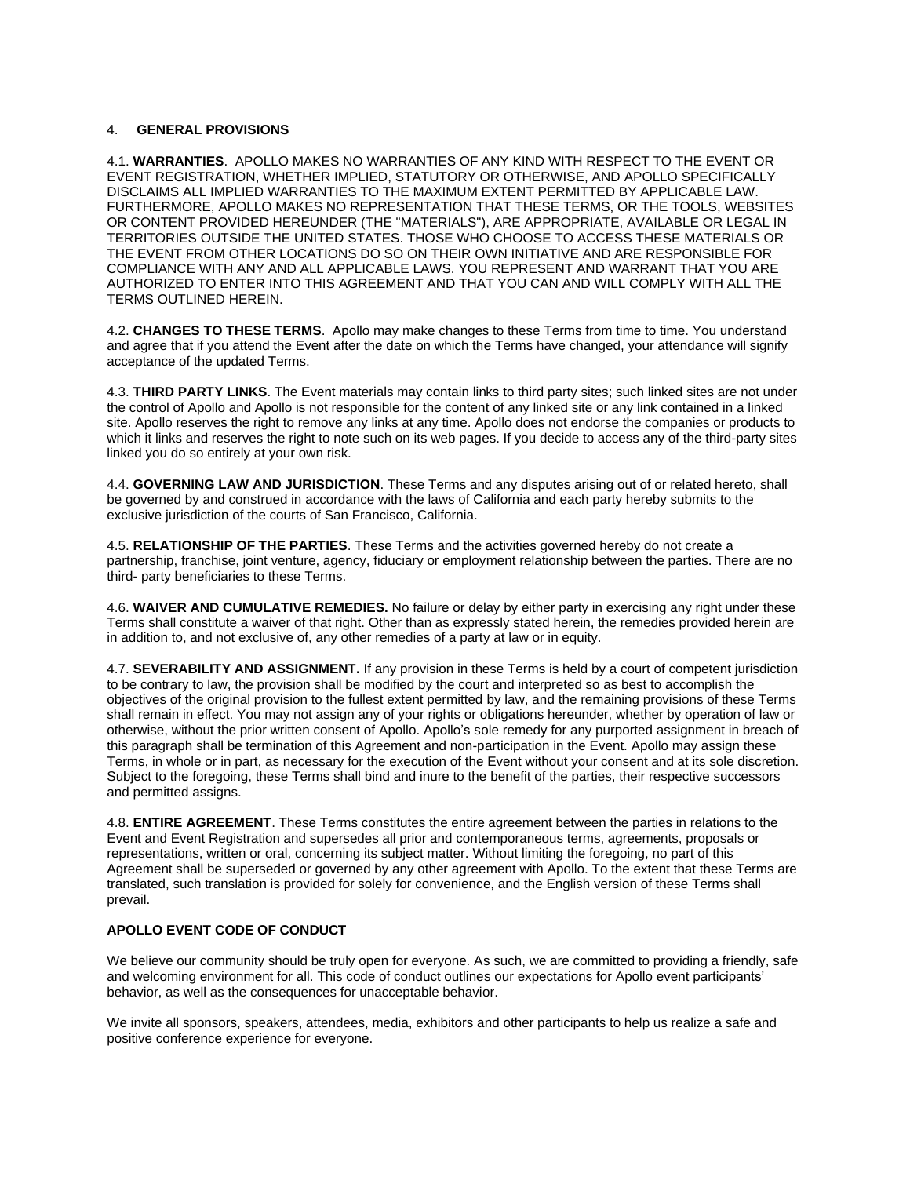## 4. **GENERAL PROVISIONS**

4.1. **WARRANTIES**. APOLLO MAKES NO WARRANTIES OF ANY KIND WITH RESPECT TO THE EVENT OR EVENT REGISTRATION, WHETHER IMPLIED, STATUTORY OR OTHERWISE, AND APOLLO SPECIFICALLY DISCLAIMS ALL IMPLIED WARRANTIES TO THE MAXIMUM EXTENT PERMITTED BY APPLICABLE LAW. FURTHERMORE, APOLLO MAKES NO REPRESENTATION THAT THESE TERMS, OR THE TOOLS, WEBSITES OR CONTENT PROVIDED HEREUNDER (THE "MATERIALS"), ARE APPROPRIATE, AVAILABLE OR LEGAL IN TERRITORIES OUTSIDE THE UNITED STATES. THOSE WHO CHOOSE TO ACCESS THESE MATERIALS OR THE EVENT FROM OTHER LOCATIONS DO SO ON THEIR OWN INITIATIVE AND ARE RESPONSIBLE FOR COMPLIANCE WITH ANY AND ALL APPLICABLE LAWS. YOU REPRESENT AND WARRANT THAT YOU ARE AUTHORIZED TO ENTER INTO THIS AGREEMENT AND THAT YOU CAN AND WILL COMPLY WITH ALL THE TERMS OUTLINED HEREIN.

4.2. **CHANGES TO THESE TERMS**. Apollo may make changes to these Terms from time to time. You understand and agree that if you attend the Event after the date on which the Terms have changed, your attendance will signify acceptance of the updated Terms.

4.3. **THIRD PARTY LINKS**. The Event materials may contain links to third party sites; such linked sites are not under the control of Apollo and Apollo is not responsible for the content of any linked site or any link contained in a linked site. Apollo reserves the right to remove any links at any time. Apollo does not endorse the companies or products to which it links and reserves the right to note such on its web pages. If you decide to access any of the third-party sites linked you do so entirely at your own risk.

4.4. **GOVERNING LAW AND JURISDICTION**. These Terms and any disputes arising out of or related hereto, shall be governed by and construed in accordance with the laws of California and each party hereby submits to the exclusive jurisdiction of the courts of San Francisco, California.

4.5. **RELATIONSHIP OF THE PARTIES**. These Terms and the activities governed hereby do not create a partnership, franchise, joint venture, agency, fiduciary or employment relationship between the parties. There are no third- party beneficiaries to these Terms.

4.6. **WAIVER AND CUMULATIVE REMEDIES.** No failure or delay by either party in exercising any right under these Terms shall constitute a waiver of that right. Other than as expressly stated herein, the remedies provided herein are in addition to, and not exclusive of, any other remedies of a party at law or in equity.

4.7. **SEVERABILITY AND ASSIGNMENT.** If any provision in these Terms is held by a court of competent jurisdiction to be contrary to law, the provision shall be modified by the court and interpreted so as best to accomplish the objectives of the original provision to the fullest extent permitted by law, and the remaining provisions of these Terms shall remain in effect. You may not assign any of your rights or obligations hereunder, whether by operation of law or otherwise, without the prior written consent of Apollo. Apollo's sole remedy for any purported assignment in breach of this paragraph shall be termination of this Agreement and non-participation in the Event. Apollo may assign these Terms, in whole or in part, as necessary for the execution of the Event without your consent and at its sole discretion. Subject to the foregoing, these Terms shall bind and inure to the benefit of the parties, their respective successors and permitted assigns.

4.8. **ENTIRE AGREEMENT**. These Terms constitutes the entire agreement between the parties in relations to the Event and Event Registration and supersedes all prior and contemporaneous terms, agreements, proposals or representations, written or oral, concerning its subject matter. Without limiting the foregoing, no part of this Agreement shall be superseded or governed by any other agreement with Apollo. To the extent that these Terms are translated, such translation is provided for solely for convenience, and the English version of these Terms shall prevail.

## **APOLLO EVENT CODE OF CONDUCT**

We believe our community should be truly open for everyone. As such, we are committed to providing a friendly, safe and welcoming environment for all. This code of conduct outlines our expectations for Apollo event participants' behavior, as well as the consequences for unacceptable behavior.

We invite all sponsors, speakers, attendees, media, exhibitors and other participants to help us realize a safe and positive conference experience for everyone.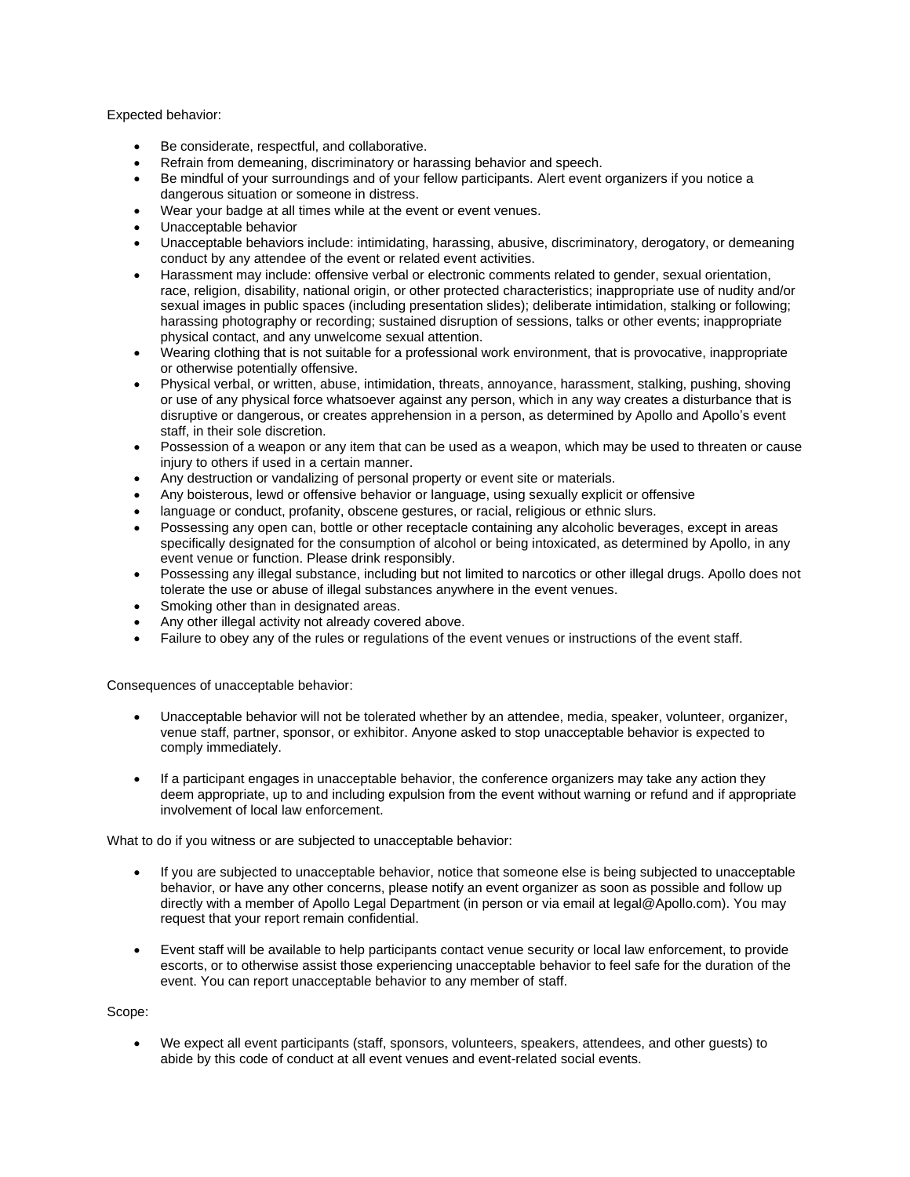Expected behavior:

- Be considerate, respectful, and collaborative.
- Refrain from demeaning, discriminatory or harassing behavior and speech.
- Be mindful of your surroundings and of your fellow participants. Alert event organizers if you notice a dangerous situation or someone in distress.
- Wear your badge at all times while at the event or event venues.
- Unacceptable behavior
- Unacceptable behaviors include: intimidating, harassing, abusive, discriminatory, derogatory, or demeaning conduct by any attendee of the event or related event activities.
- Harassment may include: offensive verbal or electronic comments related to gender, sexual orientation, race, religion, disability, national origin, or other protected characteristics; inappropriate use of nudity and/or sexual images in public spaces (including presentation slides); deliberate intimidation, stalking or following; harassing photography or recording; sustained disruption of sessions, talks or other events; inappropriate physical contact, and any unwelcome sexual attention.
- Wearing clothing that is not suitable for a professional work environment, that is provocative, inappropriate or otherwise potentially offensive.
- Physical verbal, or written, abuse, intimidation, threats, annoyance, harassment, stalking, pushing, shoving or use of any physical force whatsoever against any person, which in any way creates a disturbance that is disruptive or dangerous, or creates apprehension in a person, as determined by Apollo and Apollo's event staff, in their sole discretion.
- Possession of a weapon or any item that can be used as a weapon, which may be used to threaten or cause injury to others if used in a certain manner.
- Any destruction or vandalizing of personal property or event site or materials.
- Any boisterous, lewd or offensive behavior or language, using sexually explicit or offensive
- language or conduct, profanity, obscene gestures, or racial, religious or ethnic slurs.
- Possessing any open can, bottle or other receptacle containing any alcoholic beverages, except in areas specifically designated for the consumption of alcohol or being intoxicated, as determined by Apollo, in any event venue or function. Please drink responsibly.
- Possessing any illegal substance, including but not limited to narcotics or other illegal drugs. Apollo does not tolerate the use or abuse of illegal substances anywhere in the event venues.
- Smoking other than in designated areas.
- Any other illegal activity not already covered above.
- Failure to obey any of the rules or regulations of the event venues or instructions of the event staff.

Consequences of unacceptable behavior:

- Unacceptable behavior will not be tolerated whether by an attendee, media, speaker, volunteer, organizer, venue staff, partner, sponsor, or exhibitor. Anyone asked to stop unacceptable behavior is expected to comply immediately.
- If a participant engages in unacceptable behavior, the conference organizers may take any action they deem appropriate, up to and including expulsion from the event without warning or refund and if appropriate involvement of local law enforcement.

What to do if you witness or are subjected to unacceptable behavior:

- If you are subjected to unacceptable behavior, notice that someone else is being subjected to unacceptable behavior, or have any other concerns, please notify an event organizer as soon as possible and follow up directly with a member of Apollo Legal Department (in person or via email at legal@Apollo.com). You may request that your report remain confidential.
- Event staff will be available to help participants contact venue security or local law enforcement, to provide escorts, or to otherwise assist those experiencing unacceptable behavior to feel safe for the duration of the event. You can report unacceptable behavior to any member of staff.

Scope:

• We expect all event participants (staff, sponsors, volunteers, speakers, attendees, and other guests) to abide by this code of conduct at all event venues and event-related social events.